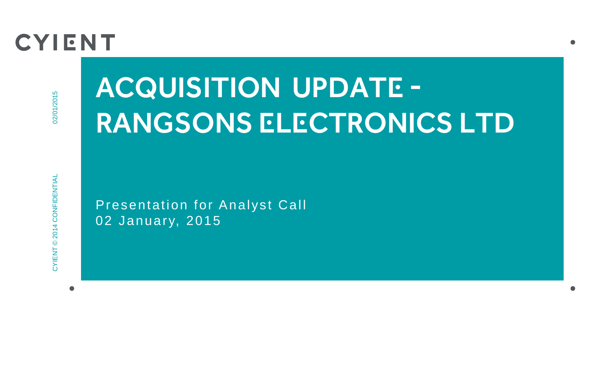## **CYIENT**

# Acquisition Update - RANGSONS ELECTRONICS LTD

Presentation for Analyst Call 02 January, 2015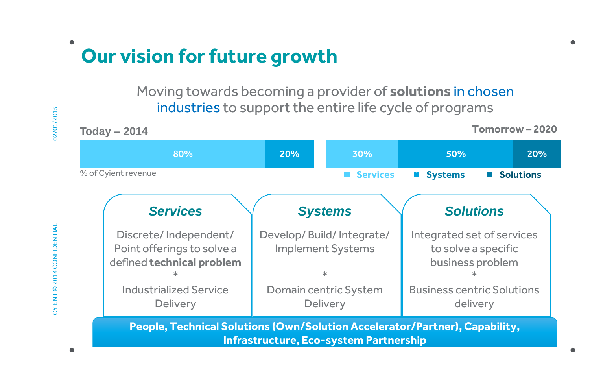### **Our vision for future growth**

Moving towards becoming a provider of **solutions** in chosen industries to support the entire life cycle of programs

80% % of Cyient revenue **Tomorrow – 2020** 30% 50% 20% **Today – 2014** 20% **Services <b>M** Systems **E** Solutions *Services* Discrete/ Independent/ Point offerings to solve a defined **technical problem** \* Industrialized Service **Delivery** *Systems* Develop/ Build/ Integrate/ Implement Systems \* Domain centric System **Delivery** *Solutions* Integrated set of services to solve a specific business problem \* Business centric Solutions delivery **People, Technical Solutions (Own/Solution Accelerator/Partner), Capability,** 

**Infrastructure, Eco-system Partnership**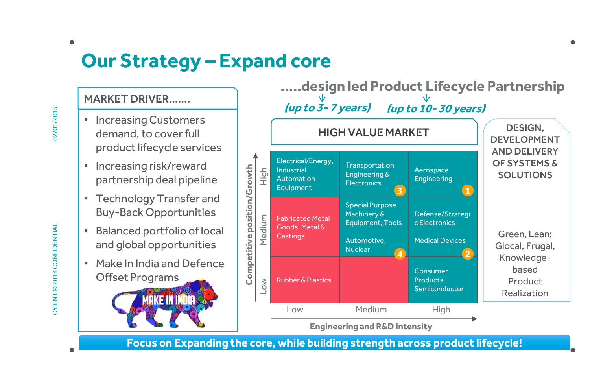### **Our Strategy – Expand core**

#### Market DriVER…….

- Increasing Customers demand, to cover full product lifecycle services
- Increasing risk/reward partnership deal pipeline
- Technology Transfer and Buy-Back Opportunities
- Balanced portfolio of local and global opportunities
- Make In India and Defence Offset Programs

KETININDIR



**Focus on Expanding the core, while building strength across product lifecycle!**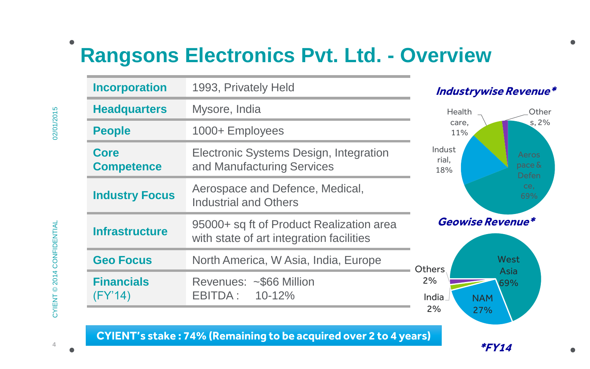### **Rangsons Electronics Pvt. Ltd. - Overview**

| <b>Incorporation</b>             | 1993, Privately Held                                                                 | <b>Industrywise Revenue*</b>                          |
|----------------------------------|--------------------------------------------------------------------------------------|-------------------------------------------------------|
| <b>Headquarters</b>              | Mysore, India                                                                        | Health<br>Other                                       |
| <b>People</b>                    | 1000+ Employees                                                                      | s, 2%<br>care.<br>11%                                 |
| <b>Core</b><br><b>Competence</b> | Electronic Systems Design, Integration<br>and Manufacturing Services                 | Indust<br>Aeros<br>rial,<br>pace &<br>18%<br>Defen    |
| <b>Industry Focus</b>            | Aerospace and Defence, Medical,<br><b>Industrial and Others</b>                      | ce.<br>69%                                            |
| <b>Infrastructure</b>            | 95000+ sq ft of Product Realization area<br>with state of art integration facilities | Geowise Revenue*                                      |
| <b>Geo Focus</b>                 | North America, W Asia, India, Europe                                                 | West<br>Others                                        |
| <b>Financials</b><br>(FY'14)     | Revenues: ~\$66 Million<br>EBITDA:<br>$10 - 12%$                                     | Asia<br>2%<br>69%<br>India<br><b>NAM</b><br>2%<br>27% |

**CYIENT's stake : 74% (Remaining to be acquired over 2 to 4 years)**

**4**

**\*FY14**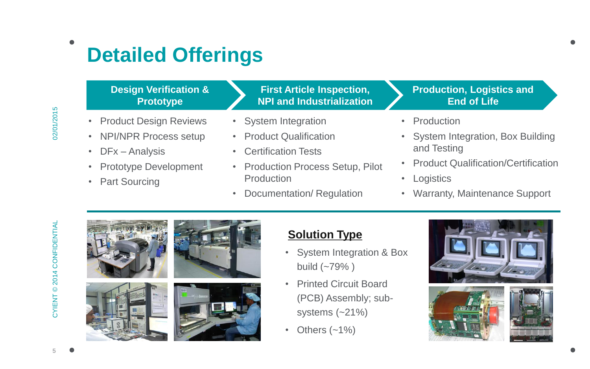### **Detailed Offerings**

#### **Design Verification & Prototype**

- Product Design Reviews
- NPI/NPR Process setup
- DFx Analysis
- Prototype Development
- Part Sourcing

#### **First Article Inspection, NPI and Industrialization**

- System Integration
- Product Qualification
- Certification Tests
- Production Process Setup, Pilot Production
- Documentation/ Regulation

#### **Production, Logistics and End of Life**

- Production
- System Integration, Box Building and Testing
- Product Qualification/Certification
- Logistics
- Warranty, Maintenance Support









### **Solution Type**

- System Integration & Box build (~79% )
- Printed Circuit Board (PCB) Assembly; subsystems (~21%)
- Others  $(-1%)$





**5**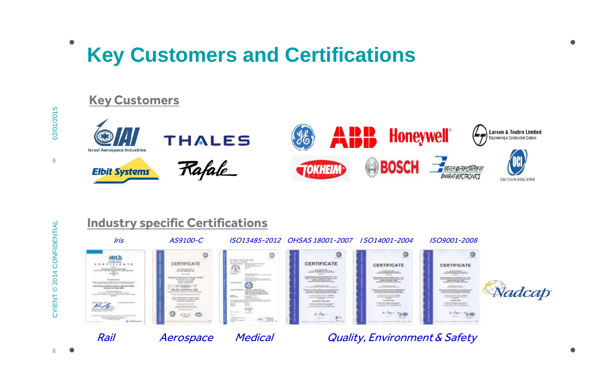### **Key Customers and Certifications**





# © 2014 CONFIDENTIAL CYIENT © 2014 CONFIDENTIAL **CYIENT**

02/01/2015

 $\bullet$ 

**6**

Rail Merospace Medical Quality, Environment & Safety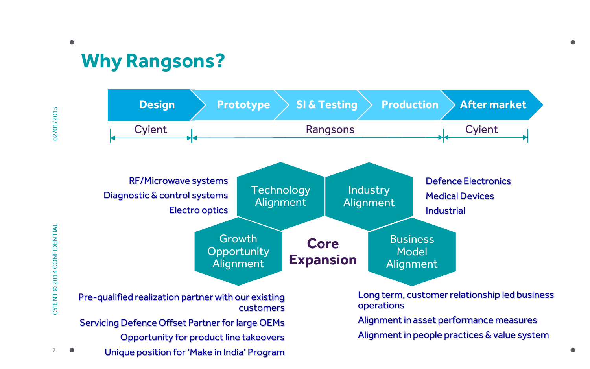### **Why Rangsons?**

 $\overline{7}$ 

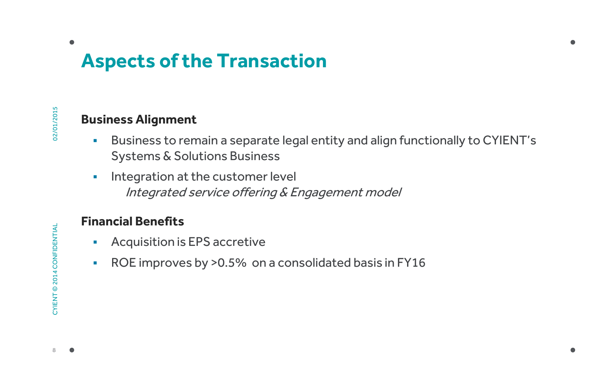### **Aspects of the Transaction**

 $\bullet$ 

#### **Business Alignment**

- Business to remain a separate legal entity and align functionally to CYIENT's Systems & Solutions Business
- **Integration at the customer level** Integrated service offering & Engagement model

#### **Financial Benefits**

- Acquisition is EPS accretive
- ROE improves by >0.5% on a consolidated basis in FY16